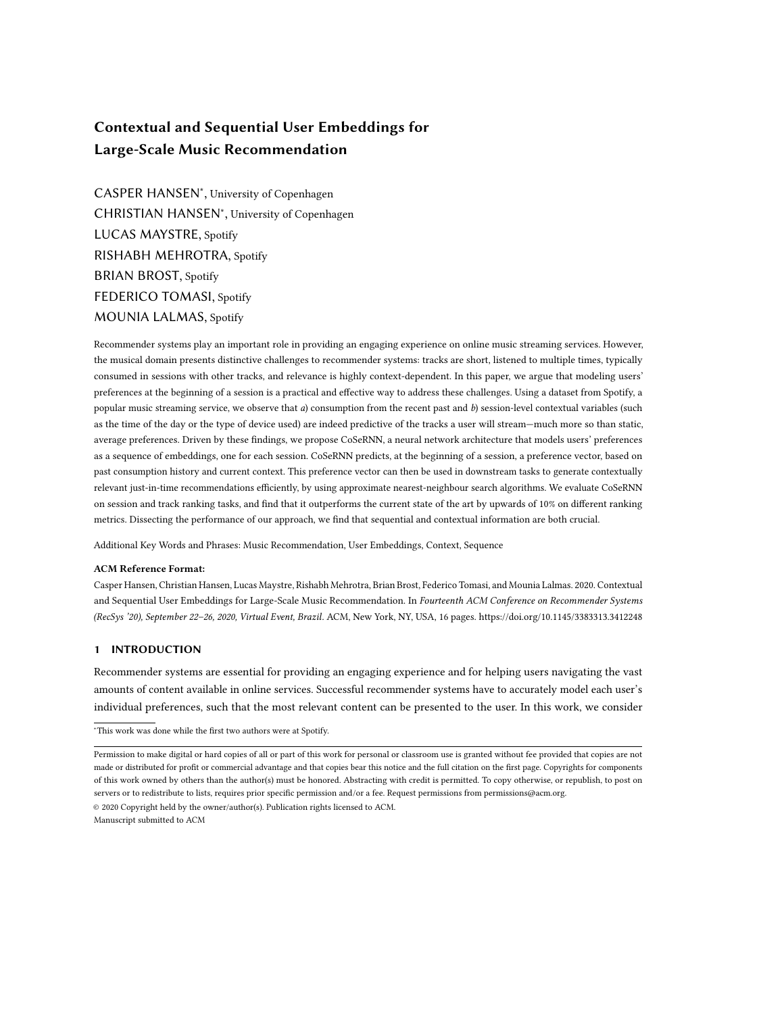# <span id="page-0-0"></span>Contextual and Sequential User Embeddings for Large-Scale Music Recommendation

CASPER HANSEN<sup>∗</sup> , University of Copenhagen CHRISTIAN HANSEN<sup>∗</sup> , University of Copenhagen LUCAS MAYSTRE, Spotify RISHABH MEHROTRA, Spotify BRIAN BROST, Spotify FEDERICO TOMASI, Spotify MOUNIA LALMAS, Spotify

Recommender systems play an important role in providing an engaging experience on online music streaming services. However, the musical domain presents distinctive challenges to recommender systems: tracks are short, listened to multiple times, typically consumed in sessions with other tracks, and relevance is highly context-dependent. In this paper, we argue that modeling users' preferences at the beginning of a session is a practical and effective way to address these challenges. Using a dataset from Spotify, a popular music streaming service, we observe that a) consumption from the recent past and b) session-level contextual variables (such as the time of the day or the type of device used) are indeed predictive of the tracks a user will stream—much more so than static, average preferences. Driven by these findings, we propose CoSeRNN, a neural network architecture that models users' preferences as a sequence of embeddings, one for each session. CoSeRNN predicts, at the beginning of a session, a preference vector, based on past consumption history and current context. This preference vector can then be used in downstream tasks to generate contextually relevant just-in-time recommendations efficiently, by using approximate nearest-neighbour search algorithms. We evaluate CoSeRNN on session and track ranking tasks, and find that it outperforms the current state of the art by upwards of 10% on different ranking metrics. Dissecting the performance of our approach, we find that sequential and contextual information are both crucial.

Additional Key Words and Phrases: Music Recommendation, User Embeddings, Context, Sequence

# ACM Reference Format:

Casper Hansen, Christian Hansen, Lucas Maystre, Rishabh Mehrotra, Brian Brost, Federico Tomasi, and Mounia Lalmas. 2020. Contextual and Sequential User Embeddings for Large-Scale Music Recommendation. In Fourteenth ACM Conference on Recommender Systems (RecSys '20), September 22–26, 2020, Virtual Event, Brazil. ACM, New York, NY, USA, [16](#page-0-0) pages.<https://doi.org/10.1145/3383313.3412248>

# <span id="page-0-1"></span>1 INTRODUCTION

Recommender systems are essential for providing an engaging experience and for helping users navigating the vast amounts of content available in online services. Successful recommender systems have to accurately model each user's individual preferences, such that the most relevant content can be presented to the user. In this work, we consider

<sup>∗</sup>This work was done while the first two authors were at Spotify.

Permission to make digital or hard copies of all or part of this work for personal or classroom use is granted without fee provided that copies are not made or distributed for profit or commercial advantage and that copies bear this notice and the full citation on the first page. Copyrights for components of this work owned by others than the author(s) must be honored. Abstracting with credit is permitted. To copy otherwise, or republish, to post on servers or to redistribute to lists, requires prior specific permission and/or a fee. Request permissions from permissions@acm.org. © 2020 Copyright held by the owner/author(s). Publication rights licensed to ACM. Manuscript submitted to ACM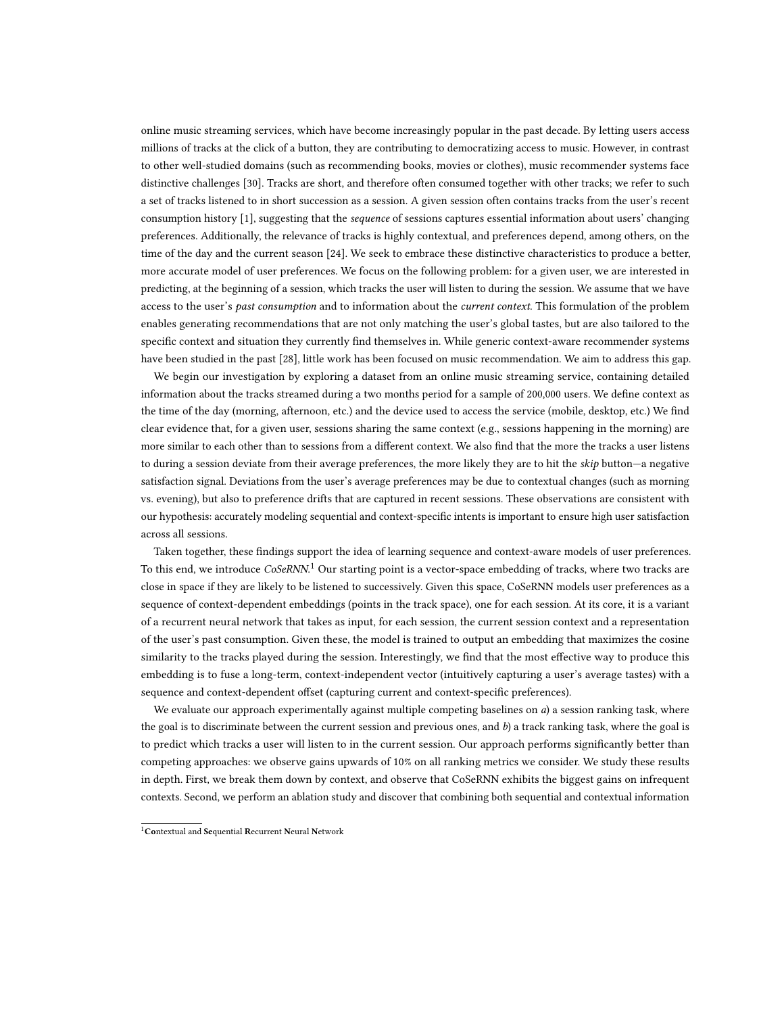online music streaming services, which have become increasingly popular in the past decade. By letting users access millions of tracks at the click of a button, they are contributing to democratizing access to music. However, in contrast to other well-studied domains (such as recommending books, movies or clothes), music recommender systems face distinctive challenges [\[30\]](#page-14-0). Tracks are short, and therefore often consumed together with other tracks; we refer to such a set of tracks listened to in short succession as a session. A given session often contains tracks from the user's recent consumption history [\[1\]](#page-14-1), suggesting that the *sequence* of sessions captures essential information about users' changing preferences. Additionally, the relevance of tracks is highly contextual, and preferences depend, among others, on the time of the day and the current season [\[24\]](#page-14-2). We seek to embrace these distinctive characteristics to produce a better, more accurate model of user preferences. We focus on the following problem: for a given user, we are interested in predicting, at the beginning of a session, which tracks the user will listen to during the session. We assume that we have access to the user's past consumption and to information about the current context. This formulation of the problem enables generating recommendations that are not only matching the user's global tastes, but are also tailored to the specific context and situation they currently find themselves in. While generic context-aware recommender systems have been studied in the past [\[28\]](#page-14-3), little work has been focused on music recommendation. We aim to address this gap.

We begin our investigation by exploring a dataset from an online music streaming service, containing detailed information about the tracks streamed during a two months period for a sample of 200,000 users. We define context as the time of the day (morning, afternoon, etc.) and the device used to access the service (mobile, desktop, etc.) We find clear evidence that, for a given user, sessions sharing the same context (e.g., sessions happening in the morning) are more similar to each other than to sessions from a different context. We also find that the more the tracks a user listens to during a session deviate from their average preferences, the more likely they are to hit the skip button-a negative satisfaction signal. Deviations from the user's average preferences may be due to contextual changes (such as morning vs. evening), but also to preference drifts that are captured in recent sessions. These observations are consistent with our hypothesis: accurately modeling sequential and context-specific intents is important to ensure high user satisfaction across all sessions.

Taken together, these findings support the idea of learning sequence and context-aware models of user preferences. To this end, we introduce CoSeRNN.<sup>[1](#page-1-0)</sup> Our starting point is a vector-space embedding of tracks, where two tracks are close in space if they are likely to be listened to successively. Given this space, CoSeRNN models user preferences as a sequence of context-dependent embeddings (points in the track space), one for each session. At its core, it is a variant of a recurrent neural network that takes as input, for each session, the current session context and a representation of the user's past consumption. Given these, the model is trained to output an embedding that maximizes the cosine similarity to the tracks played during the session. Interestingly, we find that the most effective way to produce this embedding is to fuse a long-term, context-independent vector (intuitively capturing a user's average tastes) with a sequence and context-dependent offset (capturing current and context-specific preferences).

We evaluate our approach experimentally against multiple competing baselines on  $a$ ) a session ranking task, where the goal is to discriminate between the current session and previous ones, and b) a track ranking task, where the goal is to predict which tracks a user will listen to in the current session. Our approach performs significantly better than competing approaches: we observe gains upwards of 10% on all ranking metrics we consider. We study these results in depth. First, we break them down by context, and observe that CoSeRNN exhibits the biggest gains on infrequent contexts. Second, we perform an ablation study and discover that combining both sequential and contextual information

<span id="page-1-0"></span><sup>&</sup>lt;sup>1</sup>Contextual and Sequential Recurrent Neural Network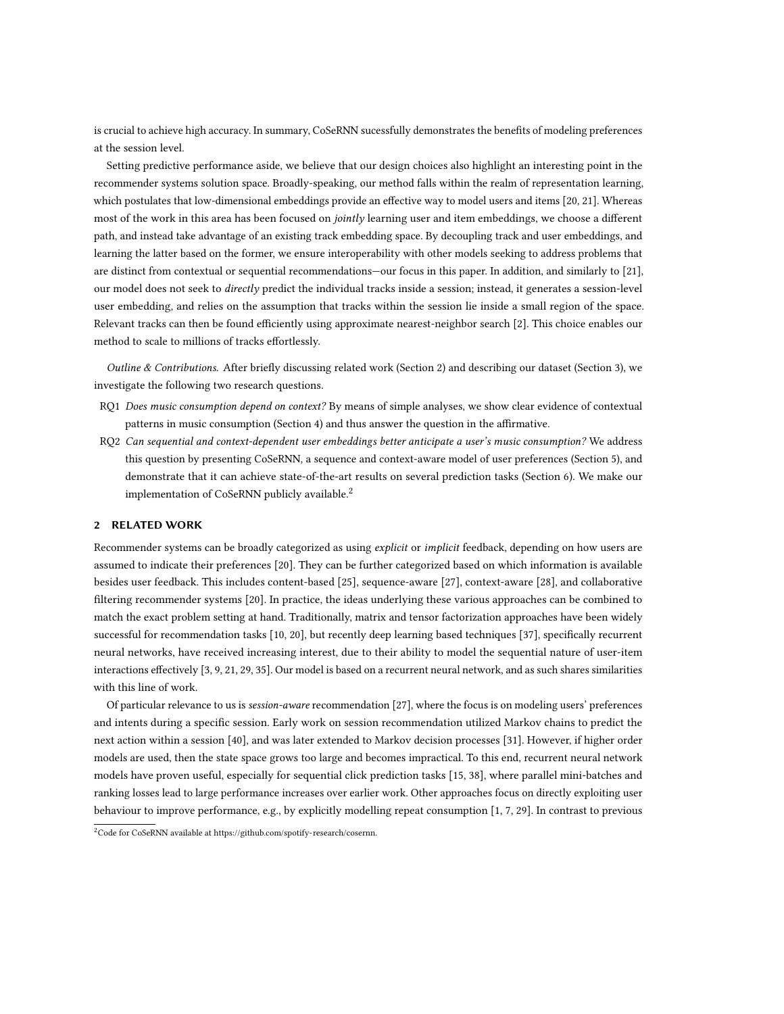is crucial to achieve high accuracy. In summary, CoSeRNN sucessfully demonstrates the benefits of modeling preferences at the session level.

Setting predictive performance aside, we believe that our design choices also highlight an interesting point in the recommender systems solution space. Broadly-speaking, our method falls within the realm of representation learning, which postulates that low-dimensional embeddings provide an effective way to model users and items [\[20,](#page-14-4) [21\]](#page-14-5). Whereas most of the work in this area has been focused on jointly learning user and item embeddings, we choose a different path, and instead take advantage of an existing track embedding space. By decoupling track and user embeddings, and learning the latter based on the former, we ensure interoperability with other models seeking to address problems that are distinct from contextual or sequential recommendations—our focus in this paper. In addition, and similarly to [\[21\]](#page-14-5), our model does not seek to directly predict the individual tracks inside a session; instead, it generates a session-level user embedding, and relies on the assumption that tracks within the session lie inside a small region of the space. Relevant tracks can then be found efficiently using approximate nearest-neighbor search [\[2\]](#page-14-6). This choice enables our method to scale to millions of tracks effortlessly.

Outline & Contributions. After briefly discussing related work (Section [2\)](#page-2-0) and describing our dataset (Section [3\)](#page-3-0), we investigate the following two research questions.

- RQ1 Does music consumption depend on context? By means of simple analyses, we show clear evidence of contextual patterns in music consumption (Section [4\)](#page-5-0) and thus answer the question in the affirmative.
- RQ2 Can sequential and context-dependent user embeddings better anticipate a user's music consumption? We address this question by presenting CoSeRNN, a sequence and context-aware model of user preferences (Section [5\)](#page-7-0), and demonstrate that it can achieve state-of-the-art results on several prediction tasks (Section [6\)](#page-9-0). We make our implementation of CoSeRNN publicly available.<sup>[2](#page-2-1)</sup>

## <span id="page-2-0"></span>2 RELATED WORK

Recommender systems can be broadly categorized as using *explicit* or *implicit* feedback, depending on how users are assumed to indicate their preferences [\[20\]](#page-14-4). They can be further categorized based on which information is available besides user feedback. This includes content-based [\[25\]](#page-14-7), sequence-aware [\[27\]](#page-14-8), context-aware [\[28\]](#page-14-3), and collaborative filtering recommender systems [\[20\]](#page-14-4). In practice, the ideas underlying these various approaches can be combined to match the exact problem setting at hand. Traditionally, matrix and tensor factorization approaches have been widely successful for recommendation tasks [\[10,](#page-14-9) [20\]](#page-14-4), but recently deep learning based techniques [\[37\]](#page-15-0), specifically recurrent neural networks, have received increasing interest, due to their ability to model the sequential nature of user-item interactions effectively [\[3,](#page-14-10) [9,](#page-14-11) [21,](#page-14-5) [29,](#page-14-12) [35\]](#page-15-1). Our model is based on a recurrent neural network, and as such shares similarities with this line of work.

Of particular relevance to us is session-aware recommendation [\[27\]](#page-14-8), where the focus is on modeling users' preferences and intents during a specific session. Early work on session recommendation utilized Markov chains to predict the next action within a session [\[40\]](#page-15-2), and was later extended to Markov decision processes [\[31\]](#page-14-13). However, if higher order models are used, then the state space grows too large and becomes impractical. To this end, recurrent neural network models have proven useful, especially for sequential click prediction tasks [\[15,](#page-14-14) [38\]](#page-15-3), where parallel mini-batches and ranking losses lead to large performance increases over earlier work. Other approaches focus on directly exploiting user behaviour to improve performance, e.g., by explicitly modelling repeat consumption [\[1,](#page-14-1) [7,](#page-14-15) [29\]](#page-14-12). In contrast to previous

<span id="page-2-1"></span><sup>&</sup>lt;sup>2</sup>Code for CoSeRNN available at [https://github.com/spotify-research/cosernn.](https://github.com/spotify-research/cosernn)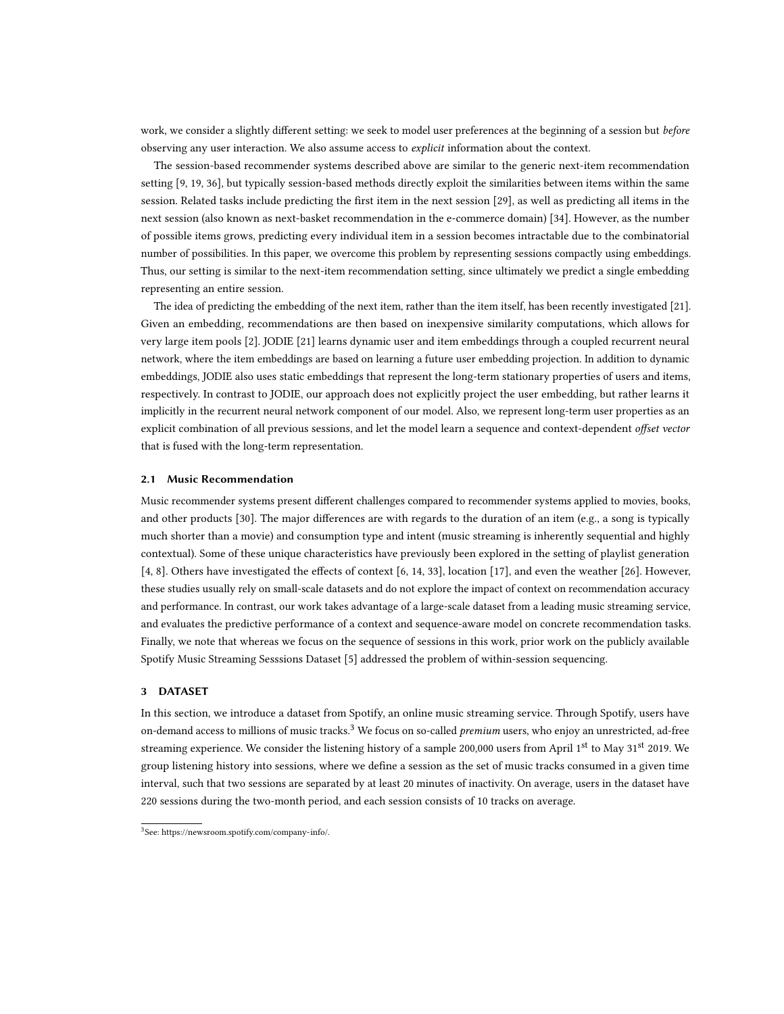work, we consider a slightly different setting: we seek to model user preferences at the beginning of a session but before observing any user interaction. We also assume access to explicit information about the context.

The session-based recommender systems described above are similar to the generic next-item recommendation setting [\[9,](#page-14-11) [19,](#page-14-16) [36\]](#page-15-4), but typically session-based methods directly exploit the similarities between items within the same session. Related tasks include predicting the first item in the next session [\[29\]](#page-14-12), as well as predicting all items in the next session (also known as next-basket recommendation in the e-commerce domain) [\[34\]](#page-15-5). However, as the number of possible items grows, predicting every individual item in a session becomes intractable due to the combinatorial number of possibilities. In this paper, we overcome this problem by representing sessions compactly using embeddings. Thus, our setting is similar to the next-item recommendation setting, since ultimately we predict a single embedding representing an entire session.

The idea of predicting the embedding of the next item, rather than the item itself, has been recently investigated [\[21\]](#page-14-5). Given an embedding, recommendations are then based on inexpensive similarity computations, which allows for very large item pools [\[2\]](#page-14-6). JODIE [\[21\]](#page-14-5) learns dynamic user and item embeddings through a coupled recurrent neural network, where the item embeddings are based on learning a future user embedding projection. In addition to dynamic embeddings, JODIE also uses static embeddings that represent the long-term stationary properties of users and items, respectively. In contrast to JODIE, our approach does not explicitly project the user embedding, but rather learns it implicitly in the recurrent neural network component of our model. Also, we represent long-term user properties as an explicit combination of all previous sessions, and let the model learn a sequence and context-dependent offset vector that is fused with the long-term representation.

## 2.1 Music Recommendation

Music recommender systems present different challenges compared to recommender systems applied to movies, books, and other products [\[30\]](#page-14-0). The major differences are with regards to the duration of an item (e.g., a song is typically much shorter than a movie) and consumption type and intent (music streaming is inherently sequential and highly contextual). Some of these unique characteristics have previously been explored in the setting of playlist generation [\[4,](#page-14-17) [8\]](#page-14-18). Others have investigated the effects of context [\[6,](#page-14-19) [14,](#page-14-20) [33\]](#page-15-6), location [\[17\]](#page-14-21), and even the weather [\[26\]](#page-14-22). However, these studies usually rely on small-scale datasets and do not explore the impact of context on recommendation accuracy and performance. In contrast, our work takes advantage of a large-scale dataset from a leading music streaming service, and evaluates the predictive performance of a context and sequence-aware model on concrete recommendation tasks. Finally, we note that whereas we focus on the sequence of sessions in this work, prior work on the publicly available Spotify Music Streaming Sesssions Dataset [\[5\]](#page-14-23) addressed the problem of within-session sequencing.

## <span id="page-3-0"></span>3 DATASET

In this section, we introduce a dataset from Spotify, an online music streaming service. Through Spotify, users have on-demand access to millions of music tracks.<sup>[3](#page-3-1)</sup> We focus on so-called *premium* users, who enjoy an unrestricted, ad-free streaming experience. We consider the listening history of a sample 200,000 users from April 1<sup>st</sup> to May 31<sup>st</sup> 2019. We group listening history into sessions, where we define a session as the set of music tracks consumed in a given time interval, such that two sessions are separated by at least 20 minutes of inactivity. On average, users in the dataset have 220 sessions during the two-month period, and each session consists of 10 tracks on average.

<span id="page-3-1"></span><sup>3</sup> See: [https://newsroom.spotify.com/company-info/.](https://newsroom.spotify.com/company-info/)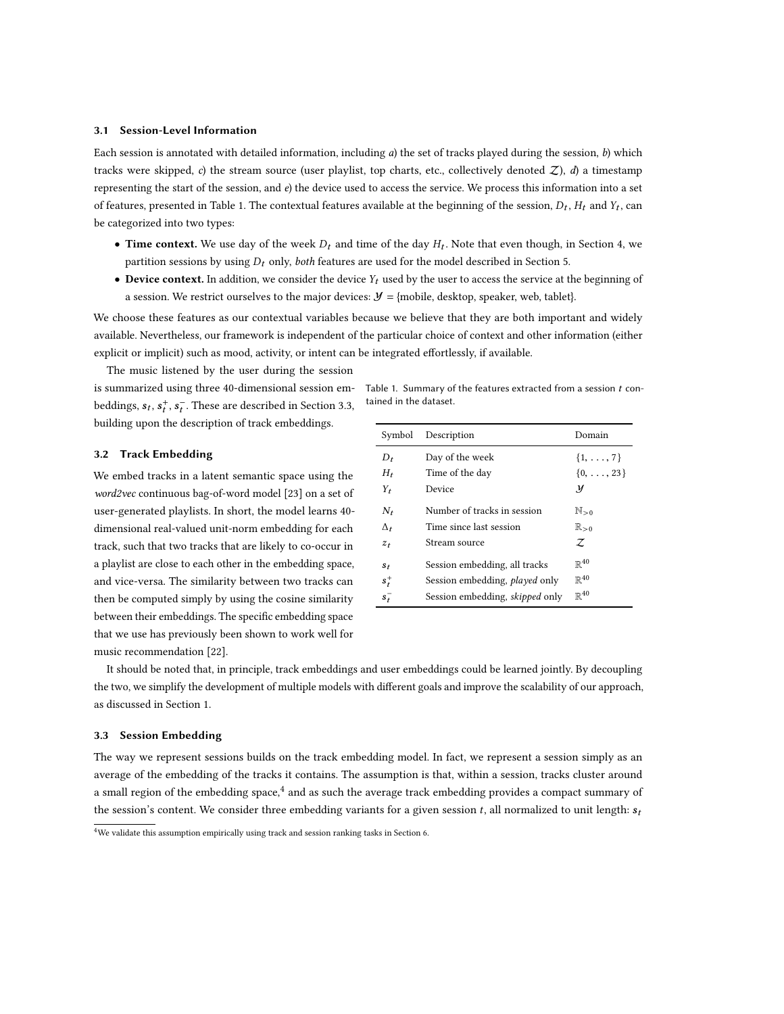#### 3.1 Session-Level Information

Each session is annotated with detailed information, including  $a$ ) the set of tracks played during the session,  $b$ ) which tracks were skipped, c) the stream source (user playlist, top charts, etc., collectively denoted  $Z$ ), d) a timestamp representing the start of the session, and  $e$ ) the device used to access the service. We process this information into a set of features, presented in Table [1.](#page-4-0) The contextual features available at the beginning of the session,  $D_t$ ,  $H_t$  and  $Y_t$ , can be categorized into two types:

- Time context. We use day of the week  $D_t$  and time of the day  $H_t$ . Note that even though, in Section [4,](#page-5-0) we partition sessions by using  $D_t$  only, both features are used for the model described in Section [5.](#page-7-0)
- Device context. In addition, we consider the device  $Y_t$  used by the user to access the service at the beginning of a session. We restrict ourselves to the major devices:  $\mathcal{Y} = \{ \text{mobile}, \text{ desktop}, \text{speaker}, \text{web}, \text{table} \}.$

We choose these features as our contextual variables because we believe that they are both important and widely available. Nevertheless, our framework is independent of the particular choice of context and other information (either explicit or implicit) such as mood, activity, or intent can be integrated effortlessly, if available.

The music listened by the user during the session is summarized using three 40-dimensional session embeddings,  $s_t$ ,  $s_t^+$ ,  $s_t^-$ . These are described in Section [3.3,](#page-4-1) building upon the description of track embeddings.

<span id="page-4-0"></span>Table 1. Summary of the features extracted from a session  $t$  contained in the dataset.

## 3.2 Track Embedding

We embed tracks in a latent semantic space using the word2vec continuous bag-of-word model [\[23\]](#page-14-24) on a set of user-generated playlists. In short, the model learns 40 dimensional real-valued unit-norm embedding for each track, such that two tracks that are likely to co-occur in a playlist are close to each other in the embedding space, and vice-versa. The similarity between two tracks can then be computed simply by using the cosine similarity between their embeddings. The specific embedding space that we use has previously been shown to work well for music recommendation [\[22\]](#page-14-25).

| Symbol       | Description                     | Domain                |  |  |
|--------------|---------------------------------|-----------------------|--|--|
| D,           | Day of the week                 | $\{1, \ldots, 7\}$    |  |  |
| $H_t$        | Time of the day                 | $\{0, \ldots, 23\}$   |  |  |
| Y,           | Device                          | y                     |  |  |
| N,           | Number of tracks in session     | $\mathbb{N}_{>0}$     |  |  |
| $\Delta_{t}$ | Time since last session         | $\mathbb{R}_{\geq 0}$ |  |  |
| $z_t$        | Stream source                   | Z                     |  |  |
| $s_t$        | Session embedding, all tracks   | $\mathbb{R}^{40}$     |  |  |
| $s_t^+$      | Session embedding, played only  | $\mathbb{R}^{40}$     |  |  |
| $s_{t}^{-}$  | Session embedding, skipped only | $R^{40}$              |  |  |

It should be noted that, in principle, track embeddings and user embeddings could be learned jointly. By decoupling the two, we simplify the development of multiple models with different goals and improve the scalability of our approach, as discussed in Section [1.](#page-0-1)

#### <span id="page-4-1"></span>3.3 Session Embedding

The way we represent sessions builds on the track embedding model. In fact, we represent a session simply as an average of the embedding of the tracks it contains. The assumption is that, within a session, tracks cluster around a small region of the embedding space, $^4$  $^4$  and as such the average track embedding provides a compact summary of the session's content. We consider three embedding variants for a given session t, all normalized to unit length:  $s_t$ 

<span id="page-4-2"></span> $4$ We validate this assumption empirically using track and session ranking tasks in Section [6.](#page-9-0)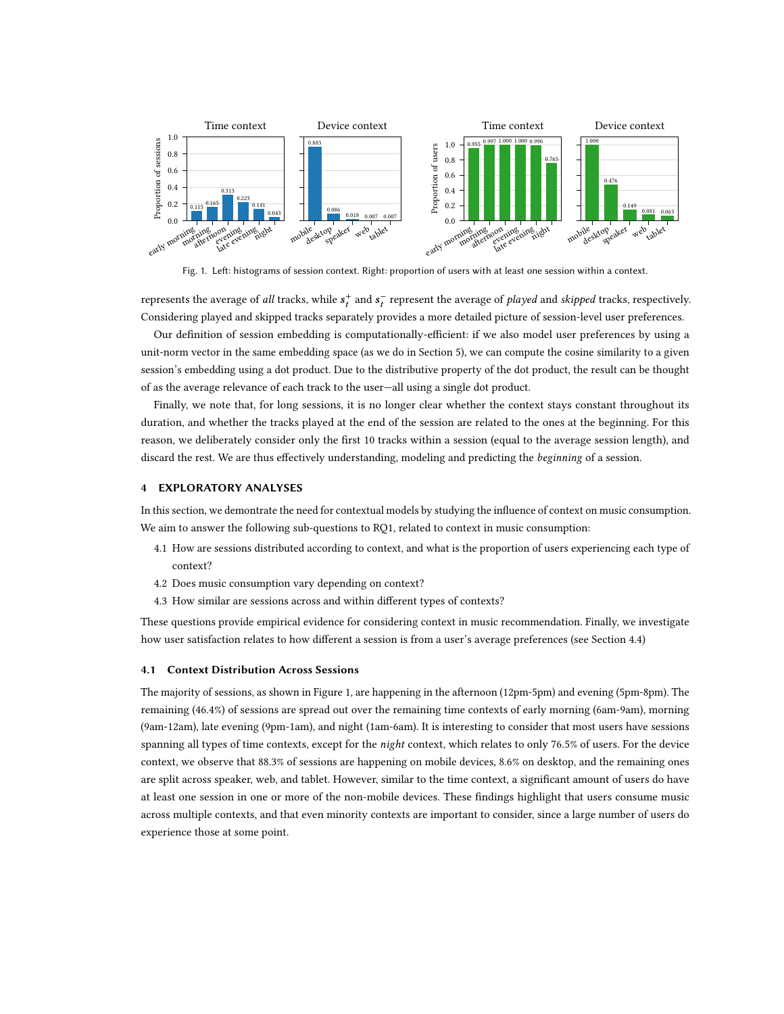<span id="page-5-2"></span>

Fig. 1. Left: histograms of session context. Right: proportion of users with at least one session within a context.

represents the average of all tracks, while  $s_t^+$  and  $s_t^-$  represent the average of played and skipped tracks, respectively. .<br>Considering played and skipped tracks separately provides a more detailed picture of session-level user preferences.

Our definition of session embedding is computationally-efficient: if we also model user preferences by using a unit-norm vector in the same embedding space (as we do in Section [5\)](#page-7-0), we can compute the cosine similarity to a given session's embedding using a dot product. Due to the distributive property of the dot product, the result can be thought of as the average relevance of each track to the user—all using a single dot product.

Finally, we note that, for long sessions, it is no longer clear whether the context stays constant throughout its duration, and whether the tracks played at the end of the session are related to the ones at the beginning. For this reason, we deliberately consider only the first 10 tracks within a session (equal to the average session length), and discard the rest. We are thus effectively understanding, modeling and predicting the beginning of a session.

## <span id="page-5-0"></span>4 EXPLORATORY ANALYSES

In this section, we demontrate the need for contextual models by studying the influence of context on music consumption. We aim to answer the following sub-questions to RQ1, related to context in music consumption:

- [4.1](#page-5-1) How are sessions distributed according to context, and what is the proportion of users experiencing each type of context?
- [4.2](#page-6-0) Does music consumption vary depending on context?
- [4.3](#page-6-1) How similar are sessions across and within different types of contexts?

These questions provide empirical evidence for considering context in music recommendation. Finally, we investigate how user satisfaction relates to how different a session is from a user's average preferences (see Section [4.4\)](#page-6-2)

#### <span id="page-5-1"></span>4.1 Context Distribution Across Sessions

The majority of sessions, as shown in Figure [1,](#page-5-2) are happening in the afternoon (12pm-5pm) and evening (5pm-8pm). The remaining (46.4%) of sessions are spread out over the remaining time contexts of early morning (6am-9am), morning (9am-12am), late evening (9pm-1am), and night (1am-6am). It is interesting to consider that most users have sessions spanning all types of time contexts, except for the night context, which relates to only 76.5% of users. For the device context, we observe that 88.3% of sessions are happening on mobile devices, 8.6% on desktop, and the remaining ones are split across speaker, web, and tablet. However, similar to the time context, a significant amount of users do have at least one session in one or more of the non-mobile devices. These findings highlight that users consume music across multiple contexts, and that even minority contexts are important to consider, since a large number of users do experience those at some point.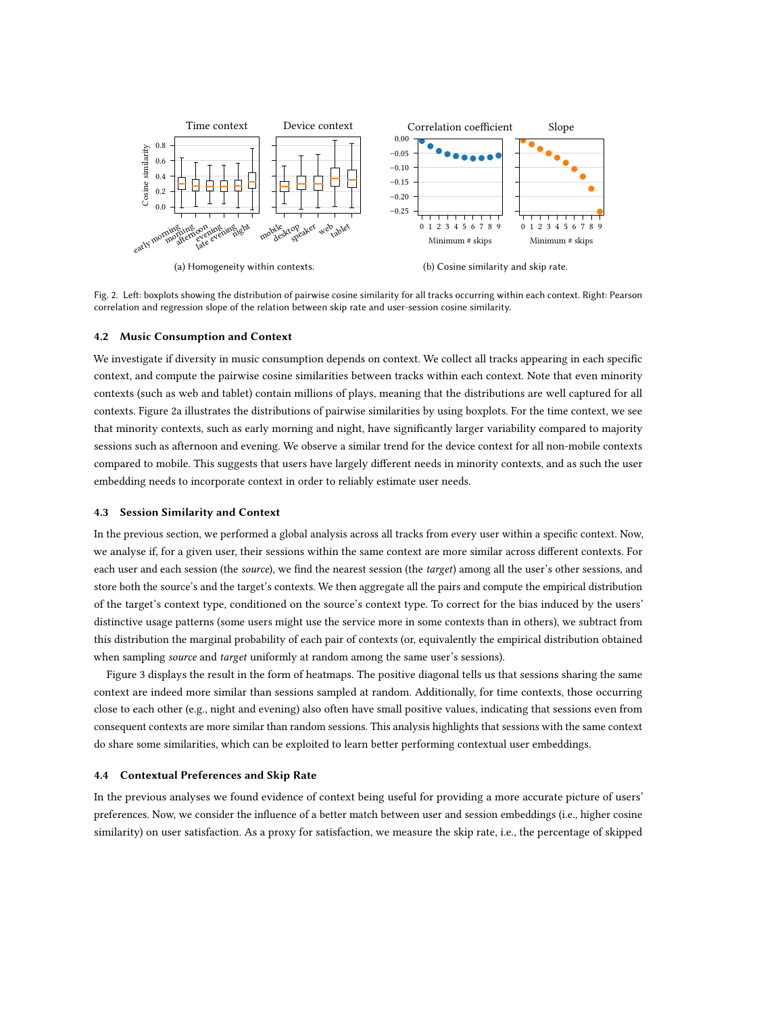<span id="page-6-3"></span>

Fig. 2. Left: boxplots showing the distribution of pairwise cosine similarity for all tracks occurring within each context. Right: Pearson correlation and regression slope of the relation between skip rate and user-session cosine similarity.

#### <span id="page-6-0"></span>4.2 Music Consumption and Context

We investigate if diversity in music consumption depends on context. We collect all tracks appearing in each specific context, and compute the pairwise cosine similarities between tracks within each context. Note that even minority contexts (such as web and tablet) contain millions of plays, meaning that the distributions are well captured for all contexts. Figure [2a](#page-6-3) illustrates the distributions of pairwise similarities by using boxplots. For the time context, we see that minority contexts, such as early morning and night, have significantly larger variability compared to majority sessions such as afternoon and evening. We observe a similar trend for the device context for all non-mobile contexts compared to mobile. This suggests that users have largely different needs in minority contexts, and as such the user embedding needs to incorporate context in order to reliably estimate user needs.

## <span id="page-6-1"></span>4.3 Session Similarity and Context

In the previous section, we performed a global analysis across all tracks from every user within a specific context. Now, we analyse if, for a given user, their sessions within the same context are more similar across different contexts. For each user and each session (the source), we find the nearest session (the target) among all the user's other sessions, and store both the source's and the target's contexts. We then aggregate all the pairs and compute the empirical distribution of the target's context type, conditioned on the source's context type. To correct for the bias induced by the users' distinctive usage patterns (some users might use the service more in some contexts than in others), we subtract from this distribution the marginal probability of each pair of contexts (or, equivalently the empirical distribution obtained when sampling *source* and *target* uniformly at random among the same user's sessions).

Figure [3](#page-7-1) displays the result in the form of heatmaps. The positive diagonal tells us that sessions sharing the same context are indeed more similar than sessions sampled at random. Additionally, for time contexts, those occurring close to each other (e.g., night and evening) also often have small positive values, indicating that sessions even from consequent contexts are more similar than random sessions. This analysis highlights that sessions with the same context do share some similarities, which can be exploited to learn better performing contextual user embeddings.

### <span id="page-6-2"></span>4.4 Contextual Preferences and Skip Rate

In the previous analyses we found evidence of context being useful for providing a more accurate picture of users' preferences. Now, we consider the influence of a better match between user and session embeddings (i.e., higher cosine similarity) on user satisfaction. As a proxy for satisfaction, we measure the skip rate, i.e., the percentage of skipped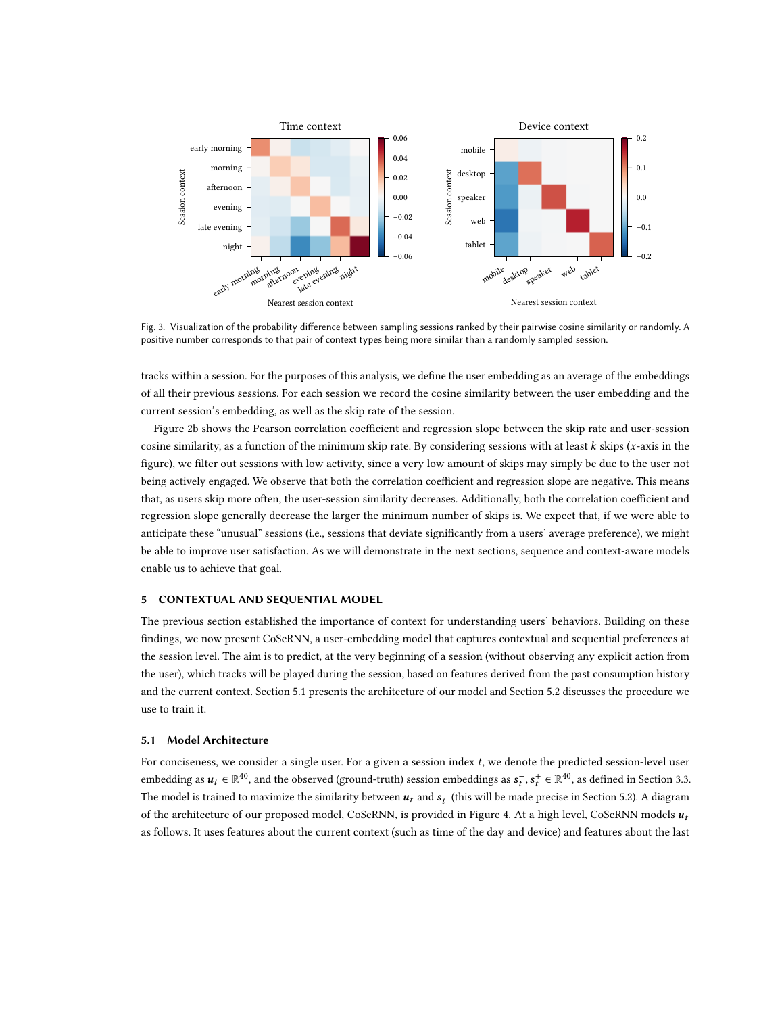<span id="page-7-1"></span>

Fig. 3. Visualization of the probability difference between sampling sessions ranked by their pairwise cosine similarity or randomly. A positive number corresponds to that pair of context types being more similar than a randomly sampled session.

tracks within a session. For the purposes of this analysis, we define the user embedding as an average of the embeddings of all their previous sessions. For each session we record the cosine similarity between the user embedding and the current session's embedding, as well as the skip rate of the session.

Figure [2b](#page-6-3) shows the Pearson correlation coefficient and regression slope between the skip rate and user-session cosine similarity, as a function of the minimum skip rate. By considering sessions with at least  $k$  skips (x-axis in the figure), we filter out sessions with low activity, since a very low amount of skips may simply be due to the user not being actively engaged. We observe that both the correlation coefficient and regression slope are negative. This means that, as users skip more often, the user-session similarity decreases. Additionally, both the correlation coefficient and regression slope generally decrease the larger the minimum number of skips is. We expect that, if we were able to anticipate these "unusual" sessions (i.e., sessions that deviate significantly from a users' average preference), we might be able to improve user satisfaction. As we will demonstrate in the next sections, sequence and context-aware models enable us to achieve that goal.

# <span id="page-7-0"></span>5 CONTEXTUAL AND SEQUENTIAL MODEL

The previous section established the importance of context for understanding users' behaviors. Building on these findings, we now present CoSeRNN, a user-embedding model that captures contextual and sequential preferences at the session level. The aim is to predict, at the very beginning of a session (without observing any explicit action from the user), which tracks will be played during the session, based on features derived from the past consumption history and the current context. Section [5.1](#page-7-2) presents the architecture of our model and Section [5.2](#page-9-1) discusses the procedure we use to train it.

### <span id="page-7-2"></span>5.1 Model Architecture

For conciseness, we consider a single user. For a given a session index  $t$ , we denote the predicted session-level user embedding as  $u_t \in \mathbb{R}^{40}$ , and the observed (ground-truth) session embeddings as  $s_t^-, s_t^+ \in \mathbb{R}^{40}$ , as defined in Section [3.3.](#page-4-1) The model is trained to maximize the similarity between  $u_t$  and  $s_t^+$  (this will be made precise in Section [5.2\)](#page-9-1). A diagram of the architecture of our proposed model, CoSeRNN, is provided in Figure [4.](#page-8-0) At a high level, CoSeRNN models  $u_t$ as follows. It uses features about the current context (such as time of the day and device) and features about the last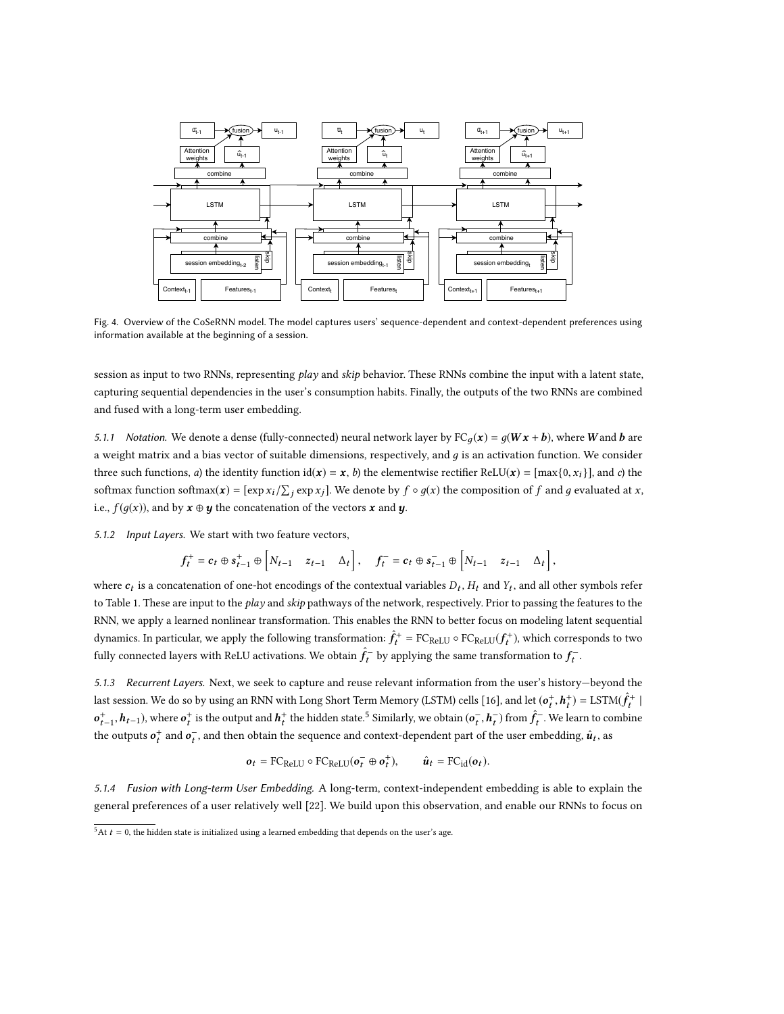<span id="page-8-0"></span>

Fig. 4. Overview of the CoSeRNN model. The model captures users' sequence-dependent and context-dependent preferences using information available at the beginning of a session.

session as input to two RNNs, representing play and skip behavior. These RNNs combine the input with a latent state, capturing sequential dependencies in the user's consumption habits. Finally, the outputs of the two RNNs are combined and fused with a long-term user embedding.

5.1.1 Notation. We denote a dense (fully-connected) neural network layer by  $FC_q(x) = g(Wx + b)$ , where W and b are a weight matrix and a bias vector of suitable dimensions, respectively, and  $g$  is an activation function. We consider three such functions, a) the identity function  $id(x) = x$ , b) the elementwise rectifier ReLU(x) =  $[\max\{0, x_i\}]$ , and c) the softmax function softmax( $\mathbf{x}$ ) = [exp  $x_i / \sum_j \exp x_j$ ]. We denote by  $f \circ g(x)$  the composition of  $f$  and  $g$  evaluated at  $x$ , i.e.,  $f(g(x))$ , and by  $\mathbf{x} \oplus \mathbf{y}$  the concatenation of the vectors  $\mathbf{x}$  and  $\mathbf{y}$ .

5.1.2 Input Layers. We start with two feature vectors,

$$
f_t^+ = c_t \oplus s_{t-1}^+ \oplus \begin{bmatrix} N_{t-1} & z_{t-1} & \Delta_t \end{bmatrix}, \quad f_t^- = c_t \oplus s_{t-1}^- \oplus \begin{bmatrix} N_{t-1} & z_{t-1} & \Delta_t \end{bmatrix},
$$

where  $c_t$  is a concatenation of one-hot encodings of the contextual variables  $D_t$ ,  $H_t$  and  $Y_t$ , and all other symbols refer to Table [1.](#page-4-0) These are input to the play and skip pathways of the network, respectively. Prior to passing the features to the RNN, we apply a learned nonlinear transformation. This enables the RNN to better focus on modeling latent sequential dynamics. In particular, we apply the following transformation:  $\hat{f}_t^+ = \text{FC}_{\text{ReLU}} \circ \text{FC}_{\text{ReLU}}(f_t^+)$ , which corresponds to two following the corresponds to two fully connected layers with ReLU activations. We obtain  $\hat{f}_t^-$  by applying the same transf  $\bar{f}_t$  by applying the same transformation to  $f_t^-$ .

5.1.3 Recurrent Layers. Next, we seek to capture and reuse relevant information from the user's history—beyond the last session. We do so by using an RNN with Long Short Term Memory (LSTM) cells [\[16\]](#page-14-26), and let  $(\mathbf{o}_t^+, \mathbf{h}_t^+) = \text{LSTM}(\hat{f}_t^+)$  $t_{t-1}$ ,  $h_{t-1}$ ), where  $\sigma_t^*$  is the output and  $h_t^*$  the hidden state.<sup>[5](#page-8-1)</sup> Similarly, we obtain  $(\sigma_t^-, h_t^-)$  from  $\hat{f}_t^-$ . We learn to combine | the outputs  $o_t^+$  and  $o_t^-$ , and then obtain the sequence and context-dependent part of the user embedding,  $\hat{u}_t$ , as

$$
\boldsymbol{o}_t = \text{FC}_{\text{ReLU}} \circ \text{FC}_{\text{ReLU}}(\boldsymbol{o}_t^- \oplus \boldsymbol{o}_t^+), \qquad \hat{\boldsymbol{u}}_t = \text{FC}_{\text{id}}(\boldsymbol{o}_t).
$$

5.1.4 Fusion with Long-term User Embedding. A long-term, context-independent embedding is able to explain the general preferences of a user relatively well [\[22\]](#page-14-25). We build upon this observation, and enable our RNNs to focus on

<span id="page-8-1"></span> $\frac{5}{5}$ At  $t = 0$ , the hidden state is initialized using a learned embedding that depends on the user's age.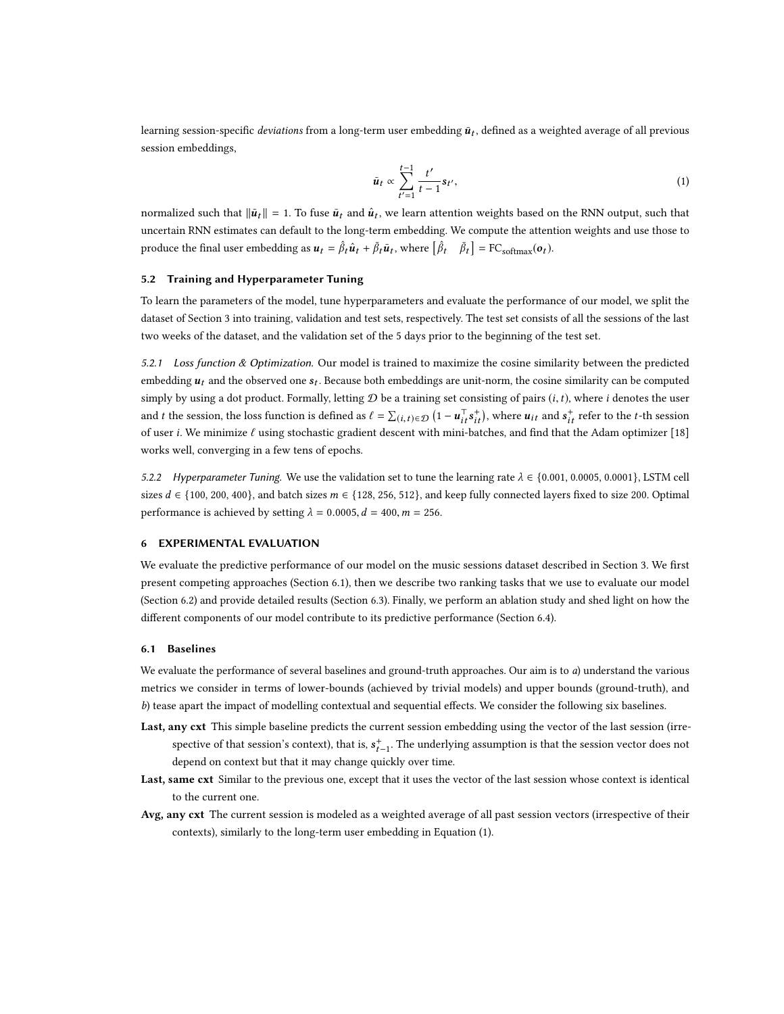learning session-specific *deviations* from a long-term user embedding  $\bar{u}_t$ , defined as a weighted average of all previous session embeddings,

<span id="page-9-3"></span>
$$
\bar{u}_t \propto \sum_{t'=1}^{t-1} \frac{t'}{t-1} s_{t'},\tag{1}
$$

normalized such that  $\|\bar{u}_t\| = 1$ . To fuse  $\bar{u}_t$  and  $\hat{u}_t$ , we learn attention weights based on the RNN output, such that uncertain RNN estimates can default to the long-term embedding. We compute the attention weights and use those to produce the final user embedding as  $u_t = \hat{\beta}_t \hat{u}_t + \bar{\beta}_t \bar{u}_t$ , where  $\left[\hat{\beta}\right]$ r<sup>t</sup>  $\bar{q}$  $\bar{\beta}_t$ ] = FC<sub>softmax</sub>( $\boldsymbol{o}_t$ ).

## <span id="page-9-1"></span>5.2 Training and Hyperparameter Tuning

To learn the parameters of the model, tune hyperparameters and evaluate the performance of our model, we split the dataset of Section [3](#page-3-0) into training, validation and test sets, respectively. The test set consists of all the sessions of the last two weeks of the dataset, and the validation set of the 5 days prior to the beginning of the test set.

<span id="page-9-4"></span>5.2.1 Loss function  $\&$  Optimization. Our model is trained to maximize the cosine similarity between the predicted embedding  $u_t$  and the observed one  $s_t$ . Because both embeddings are unit-norm, the cosine similarity can be computed simply by using a dot product. Formally, letting  $D$  be a training set consisting of pairs  $(i, t)$ , where i denotes the user and t the session, the loss function is defined as  $\ell = \sum_{i}^{L}(i,t) \in \mathcal{D}$   $(1 - u_{i}^{T} s_{it}^{+})$ , where  $u_{it}$  and  $s_{it}^{+}$  refer to the t-th session of user *i*. We minimize  $\ell$  using stochastic gradient descent with mini-batches, and find that the Adam optimizer [\[18\]](#page-14-27) works well, converging in a few tens of epochs.

5.2.2 Hyperparameter Tuning. We use the validation set to tune the learning rate  $\lambda \in \{0.001, 0.0005, 0.0001\}$ , LSTM cell sizes  $d \in \{100, 200, 400\}$ , and batch sizes  $m \in \{128, 256, 512\}$ , and keep fully connected layers fixed to size 200. Optimal performance is achieved by setting  $\lambda = 0.0005$ ,  $d = 400$ ,  $m = 256$ .

## <span id="page-9-0"></span>6 EXPERIMENTAL EVALUATION

We evaluate the predictive performance of our model on the music sessions dataset described in Section [3.](#page-3-0) We first present competing approaches (Section [6.1\)](#page-9-2), then we describe two ranking tasks that we use to evaluate our model (Section [6.2\)](#page-10-0) and provide detailed results (Section [6.3\)](#page-11-0). Finally, we perform an ablation study and shed light on how the different components of our model contribute to its predictive performance (Section [6.4\)](#page-12-0).

## <span id="page-9-2"></span>6.1 Baselines

We evaluate the performance of several baselines and ground-truth approaches. Our aim is to a) understand the various metrics we consider in terms of lower-bounds (achieved by trivial models) and upper bounds (ground-truth), and b) tease apart the impact of modelling contextual and sequential effects. We consider the following six baselines.

- Last, any cxt This simple baseline predicts the current session embedding using the vector of the last session (irrespective of that session's context), that is,  $s_{t-1}^+$ . The underlying assumption is that the session vector does not depend on context but that it may change quickly over time.
- Last, same cxt Similar to the previous one, except that it uses the vector of the last session whose context is identical to the current one.
- Avg, any cxt The current session is modeled as a weighted average of all past session vectors (irrespective of their contexts), similarly to the long-term user embedding in Equation [\(1\)](#page-9-3).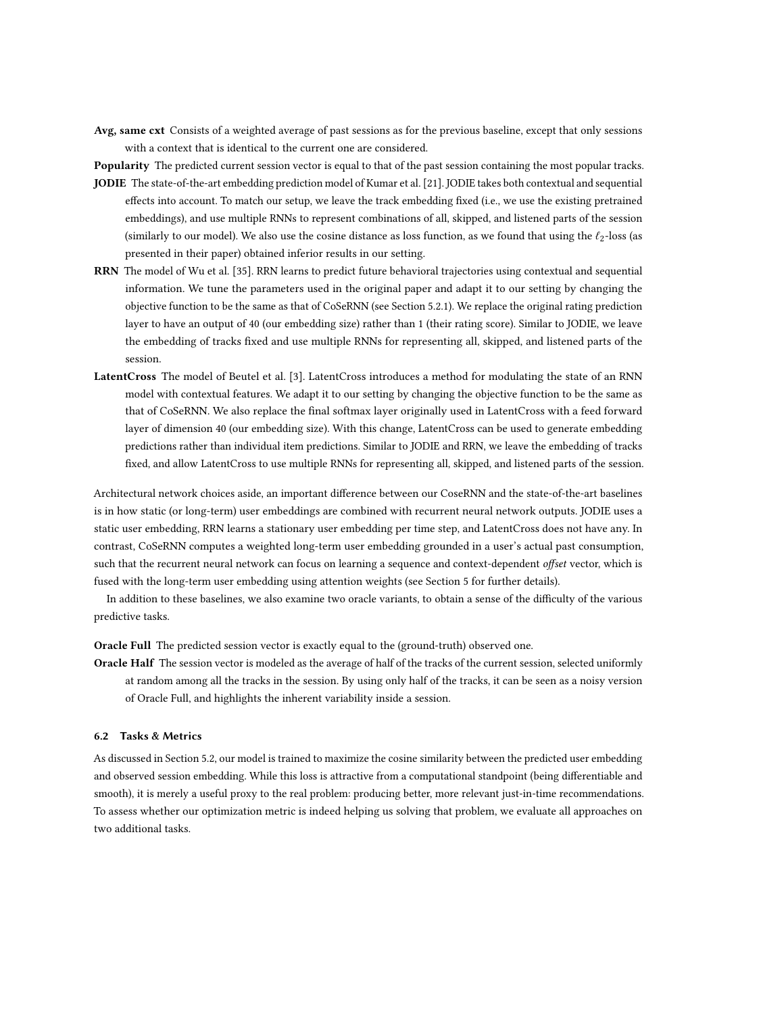Avg, same cxt Consists of a weighted average of past sessions as for the previous baseline, except that only sessions with a context that is identical to the current one are considered.

Popularity The predicted current session vector is equal to that of the past session containing the most popular tracks. JODIE The state-of-the-art embedding prediction model of Kumar et al. [\[21\]](#page-14-5). JODIE takes both contextual and sequential

- effects into account. To match our setup, we leave the track embedding fixed (i.e., we use the existing pretrained embeddings), and use multiple RNNs to represent combinations of all, skipped, and listened parts of the session (similarly to our model). We also use the cosine distance as loss function, as we found that using the  $\ell_2$ -loss (as presented in their paper) obtained inferior results in our setting.
- RRN The model of Wu et al. [\[35\]](#page-15-1). RRN learns to predict future behavioral trajectories using contextual and sequential information. We tune the parameters used in the original paper and adapt it to our setting by changing the objective function to be the same as that of CoSeRNN (see Section [5.2.1\)](#page-9-4). We replace the original rating prediction layer to have an output of 40 (our embedding size) rather than 1 (their rating score). Similar to JODIE, we leave the embedding of tracks fixed and use multiple RNNs for representing all, skipped, and listened parts of the session.
- LatentCross The model of Beutel et al. [\[3\]](#page-14-10). LatentCross introduces a method for modulating the state of an RNN model with contextual features. We adapt it to our setting by changing the objective function to be the same as that of CoSeRNN. We also replace the final softmax layer originally used in LatentCross with a feed forward layer of dimension 40 (our embedding size). With this change, LatentCross can be used to generate embedding predictions rather than individual item predictions. Similar to JODIE and RRN, we leave the embedding of tracks fixed, and allow LatentCross to use multiple RNNs for representing all, skipped, and listened parts of the session.

Architectural network choices aside, an important difference between our CoseRNN and the state-of-the-art baselines is in how static (or long-term) user embeddings are combined with recurrent neural network outputs. JODIE uses a static user embedding, RRN learns a stationary user embedding per time step, and LatentCross does not have any. In contrast, CoSeRNN computes a weighted long-term user embedding grounded in a user's actual past consumption, such that the recurrent neural network can focus on learning a sequence and context-dependent offset vector, which is fused with the long-term user embedding using attention weights (see Section [5](#page-7-0) for further details).

In addition to these baselines, we also examine two oracle variants, to obtain a sense of the difficulty of the various predictive tasks.

Oracle Full The predicted session vector is exactly equal to the (ground-truth) observed one.

Oracle Half The session vector is modeled as the average of half of the tracks of the current session, selected uniformly at random among all the tracks in the session. By using only half of the tracks, it can be seen as a noisy version of Oracle Full, and highlights the inherent variability inside a session.

## <span id="page-10-0"></span>6.2 Tasks & Metrics

As discussed in Section [5.2,](#page-9-1) our model is trained to maximize the cosine similarity between the predicted user embedding and observed session embedding. While this loss is attractive from a computational standpoint (being differentiable and smooth), it is merely a useful proxy to the real problem: producing better, more relevant just-in-time recommendations. To assess whether our optimization metric is indeed helping us solving that problem, we evaluate all approaches on two additional tasks.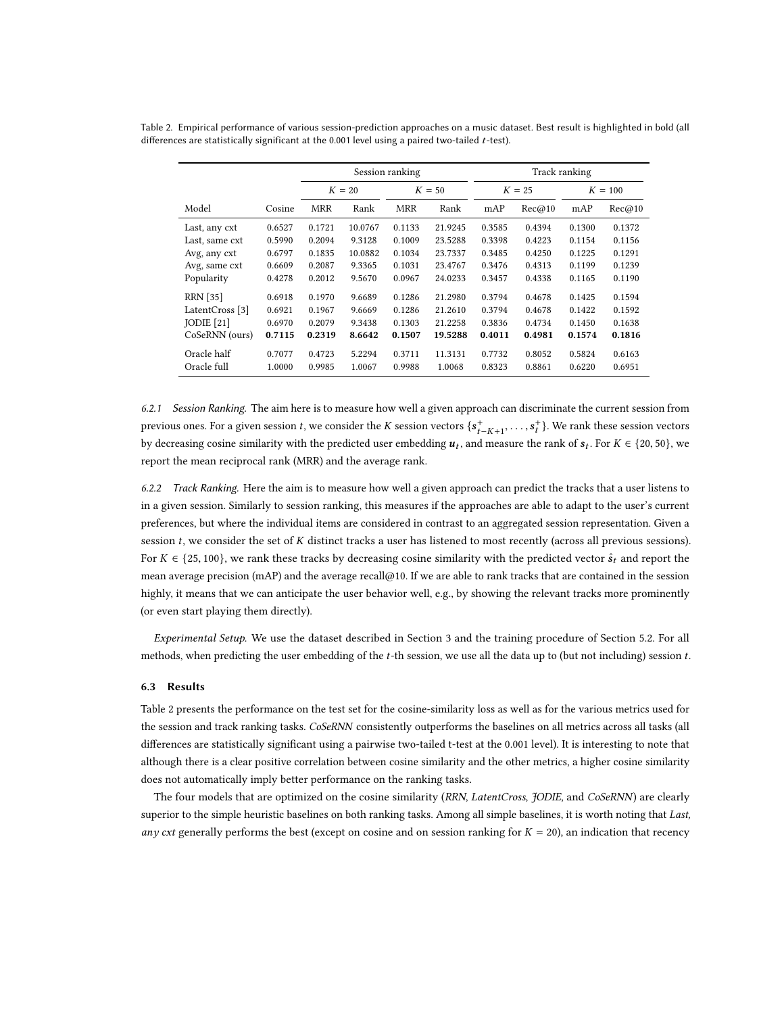|                 |        | Session ranking |         |            | Track ranking |          |        |           |        |
|-----------------|--------|-----------------|---------|------------|---------------|----------|--------|-----------|--------|
|                 |        | $K=20$          |         | $K=50$     |               | $K = 25$ |        | $K = 100$ |        |
| Model           | Cosine | <b>MRR</b>      | Rank    | <b>MRR</b> | Rank          | mAP      | Rec@10 | mAP       | Rec@10 |
| Last, any cxt   | 0.6527 | 0.1721          | 10.0767 | 0.1133     | 21.9245       | 0.3585   | 0.4394 | 0.1300    | 0.1372 |
| Last, same cxt  | 0.5990 | 0.2094          | 9.3128  | 0.1009     | 23.5288       | 0.3398   | 0.4223 | 0.1154    | 0.1156 |
| Avg, any cxt    | 0.6797 | 0.1835          | 10.0882 | 0.1034     | 23.7337       | 0.3485   | 0.4250 | 0.1225    | 0.1291 |
| Avg, same cxt   | 0.6609 | 0.2087          | 9.3365  | 0.1031     | 23.4767       | 0.3476   | 0.4313 | 0.1199    | 0.1239 |
| Popularity      | 0.4278 | 0.2012          | 9.5670  | 0.0967     | 24.0233       | 0.3457   | 0.4338 | 0.1165    | 0.1190 |
| <b>RRN</b> [35] | 0.6918 | 0.1970          | 9.6689  | 0.1286     | 21.2980       | 0.3794   | 0.4678 | 0.1425    | 0.1594 |
| LatentCross [3] | 0.6921 | 0.1967          | 9.6669  | 0.1286     | 21.2610       | 0.3794   | 0.4678 | 0.1422    | 0.1592 |
| $IO$ DIE $[21]$ | 0.6970 | 0.2079          | 9.3438  | 0.1303     | 21.2258       | 0.3836   | 0.4734 | 0.1450    | 0.1638 |
| CoSeRNN (ours)  | 0.7115 | 0.2319          | 8.6642  | 0.1507     | 19.5288       | 0.4011   | 0.4981 | 0.1574    | 0.1816 |
| Oracle half     | 0.7077 | 0.4723          | 5.2294  | 0.3711     | 11.3131       | 0.7732   | 0.8052 | 0.5824    | 0.6163 |
| Oracle full     | 1.0000 | 0.9985          | 1.0067  | 0.9988     | 1.0068        | 0.8323   | 0.8861 | 0.6220    | 0.6951 |

<span id="page-11-1"></span>Table 2. Empirical performance of various session-prediction approaches on a music dataset. Best result is highlighted in bold (all differences are statistically significant at the 0.001 level using a paired two-tailed  $t$ -test).

6.2.1 Session Ranking. The aim here is to measure how well a given approach can discriminate the current session from previous ones. For a given session t, we consider the K session vectors  $\{s_{t-K+1}^+, \ldots, s_{t-1}^+\}$  $_{t}^{+}$ }. We rank these session vectors by decreasing cosine similarity with the predicted user embedding  $u_t$ , and measure the rank of  $s_t$ . For  $K \in \{20, 50\}$ , we report the mean reciprocal rank (MRR) and the average rank.

6.2.2 Track Ranking. Here the aim is to measure how well a given approach can predict the tracks that a user listens to in a given session. Similarly to session ranking, this measures if the approaches are able to adapt to the user's current preferences, but where the individual items are considered in contrast to an aggregated session representation. Given a session t, we consider the set of K distinct tracks a user has listened to most recently (across all previous sessions). For  $K \in \{25, 100\}$ , we rank these tracks by decreasing cosine similarity with the predicted vector  $\hat{s}_t$  and report the mean average precision (mAP) and the average recall@10. If we are able to rank tracks that are contained in the session highly, it means that we can anticipate the user behavior well, e.g., by showing the relevant tracks more prominently (or even start playing them directly).

Experimental Setup. We use the dataset described in Section [3](#page-3-0) and the training procedure of Section [5.2.](#page-9-1) For all methods, when predicting the user embedding of the  $t$ -th session, we use all the data up to (but not including) session  $t$ .

#### <span id="page-11-0"></span>6.3 Results

Table [2](#page-11-1) presents the performance on the test set for the cosine-similarity loss as well as for the various metrics used for the session and track ranking tasks. CoSeRNN consistently outperforms the baselines on all metrics across all tasks (all differences are statistically significant using a pairwise two-tailed t-test at the 0.001 level). It is interesting to note that although there is a clear positive correlation between cosine similarity and the other metrics, a higher cosine similarity does not automatically imply better performance on the ranking tasks.

The four models that are optimized on the cosine similarity (RRN, LatentCross, JODIE, and CoSeRNN) are clearly superior to the simple heuristic baselines on both ranking tasks. Among all simple baselines, it is worth noting that Last, any cxt generally performs the best (except on cosine and on session ranking for  $K = 20$ ), an indication that recency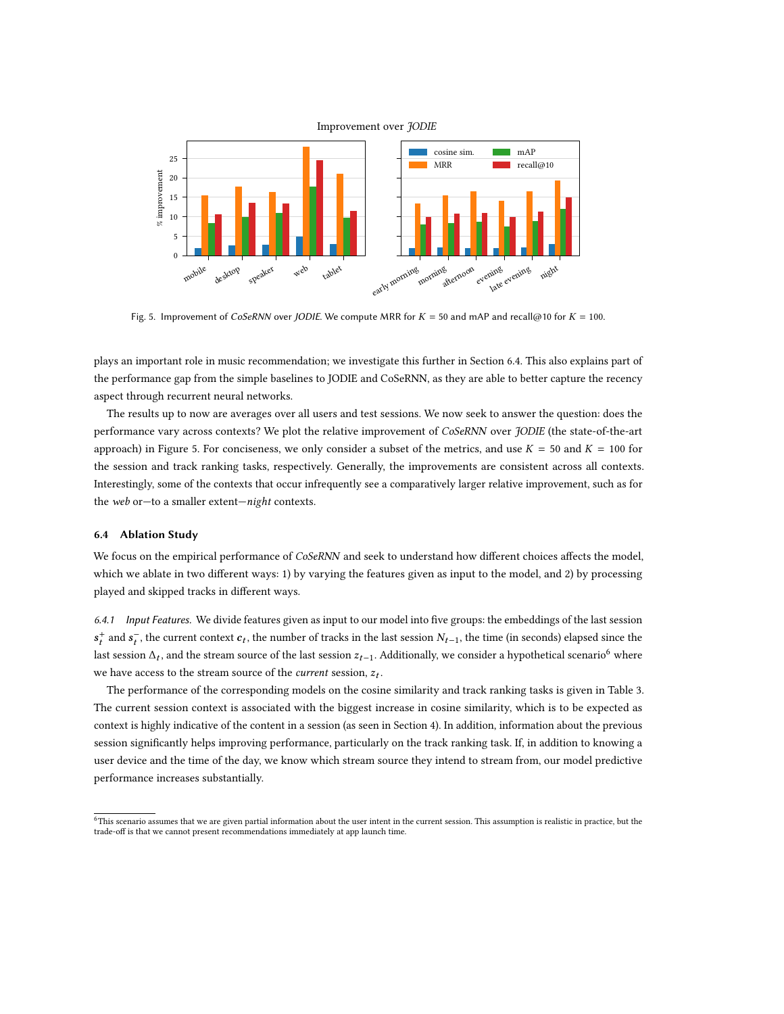

<span id="page-12-1"></span>

Fig. 5. Improvement of CoSeRNN over JODIE. We compute MRR for  $K = 50$  and mAP and recall@10 for  $K = 100$ .

plays an important role in music recommendation; we investigate this further in Section [6.4.](#page-12-0) This also explains part of the performance gap from the simple baselines to JODIE and CoSeRNN, as they are able to better capture the recency aspect through recurrent neural networks.

The results up to now are averages over all users and test sessions. We now seek to answer the question: does the performance vary across contexts? We plot the relative improvement of CoSeRNN over JODIE (the state-of-the-art approach) in Figure [5.](#page-12-1) For conciseness, we only consider a subset of the metrics, and use  $K = 50$  and  $K = 100$  for the session and track ranking tasks, respectively. Generally, the improvements are consistent across all contexts. Interestingly, some of the contexts that occur infrequently see a comparatively larger relative improvement, such as for the web or—to a smaller extent—night contexts.

## <span id="page-12-0"></span>6.4 Ablation Study

We focus on the empirical performance of CoSeRNN and seek to understand how different choices affects the model, which we ablate in two different ways: 1) by varying the features given as input to the model, and 2) by processing played and skipped tracks in different ways.

6.4.1 Input Features. We divide features given as input to our model into five groups: the embeddings of the last session  $\sum_{t=1}^{\infty}$  and  $\sum_{t=1}^{\infty}$ , and the stream source of the last session  $z_{t-1}$ . Additionally, we consider a hypothetical scenario<sup>[6](#page-12-2)</sup> where  $\mathbf{r}_t^+$  and  $\mathbf{s}_t^-$ , the current context  $\mathbf{c}_t$ , the number of tracks in the last session  $N_{t-1}$ , the time (in seconds) elapsed since the we have access to the stream source of the *current* session,  $z_t$ .

The performance of the corresponding models on the cosine similarity and track ranking tasks is given in Table [3.](#page-13-0) The current session context is associated with the biggest increase in cosine similarity, which is to be expected as context is highly indicative of the content in a session (as seen in Section [4\)](#page-5-0). In addition, information about the previous session significantly helps improving performance, particularly on the track ranking task. If, in addition to knowing a user device and the time of the day, we know which stream source they intend to stream from, our model predictive performance increases substantially.

<span id="page-12-2"></span><sup>6</sup>This scenario assumes that we are given partial information about the user intent in the current session. This assumption is realistic in practice, but the trade-off is that we cannot present recommendations immediately at app launch time.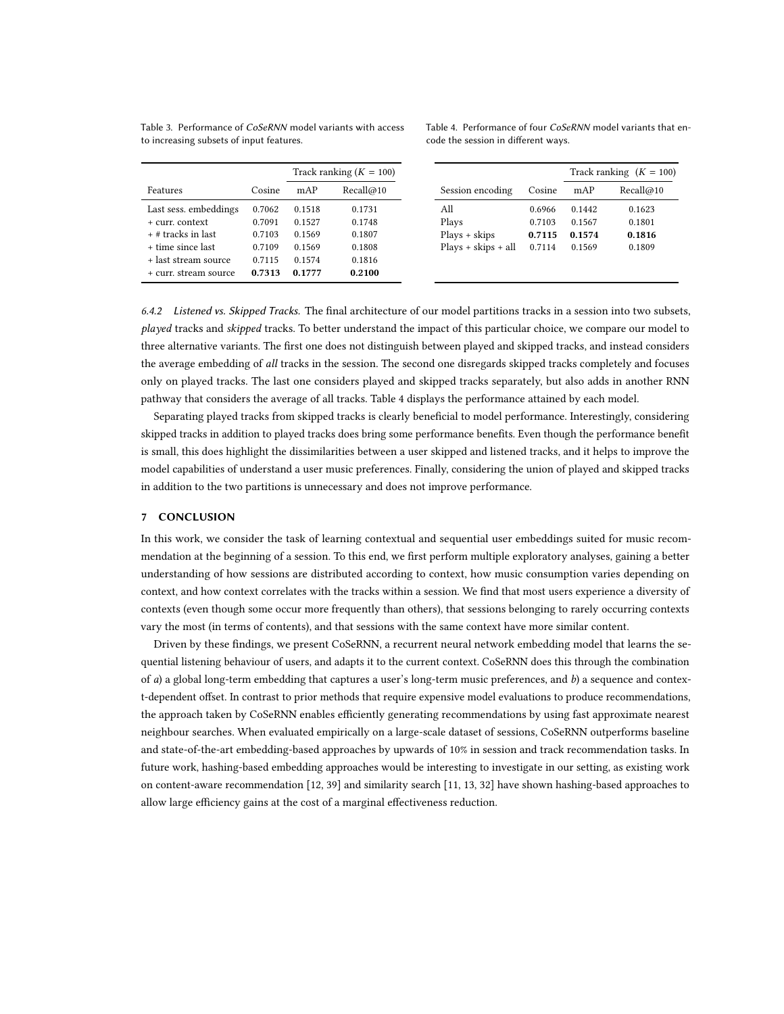<span id="page-13-0"></span>Table 3. Performance of CoSeRNN model variants with access to increasing subsets of input features.

Table 4. Performance of four CoSeRNN model variants that encode the session in different ways.

|                       |        | Track ranking $(K = 100)$ |           |                       |        |        | Track ranking $(K = 100)$ |
|-----------------------|--------|---------------------------|-----------|-----------------------|--------|--------|---------------------------|
| Features              | Cosine | mAP                       | Recall@10 | Session encoding      | Cosine | mAP    | Recall@10                 |
| Last sess. embeddings | 0.7062 | 0.1518                    | 0.1731    | All                   | 0.6966 | 0.1442 | 0.1623                    |
| + curr. context       | 0.7091 | 0.1527                    | 0.1748    | Plays                 | 0.7103 | 0.1567 | 0.1801                    |
| $+$ # tracks in last  | 0.7103 | 0.1569                    | 0.1807    | $Plays + skips$       | 0.7115 | 0.1574 | 0.1816                    |
| + time since last     | 0.7109 | 0.1569                    | 0.1808    | $Plays + skips + all$ | 0.7114 | 0.1569 | 0.1809                    |
| + last stream source  | 0.7115 | 0.1574                    | 0.1816    |                       |        |        |                           |
| + curr. stream source | 0.7313 | 0.1777                    | 0.2100    |                       |        |        |                           |

6.4.2 Listened vs. Skipped Tracks. The final architecture of our model partitions tracks in a session into two subsets, played tracks and skipped tracks. To better understand the impact of this particular choice, we compare our model to three alternative variants. The first one does not distinguish between played and skipped tracks, and instead considers the average embedding of all tracks in the session. The second one disregards skipped tracks completely and focuses only on played tracks. The last one considers played and skipped tracks separately, but also adds in another RNN pathway that considers the average of all tracks. Table [4](#page-13-0) displays the performance attained by each model.

Separating played tracks from skipped tracks is clearly beneficial to model performance. Interestingly, considering skipped tracks in addition to played tracks does bring some performance benefits. Even though the performance benefit is small, this does highlight the dissimilarities between a user skipped and listened tracks, and it helps to improve the model capabilities of understand a user music preferences. Finally, considering the union of played and skipped tracks in addition to the two partitions is unnecessary and does not improve performance.

#### 7 CONCLUSION

In this work, we consider the task of learning contextual and sequential user embeddings suited for music recommendation at the beginning of a session. To this end, we first perform multiple exploratory analyses, gaining a better understanding of how sessions are distributed according to context, how music consumption varies depending on context, and how context correlates with the tracks within a session. We find that most users experience a diversity of contexts (even though some occur more frequently than others), that sessions belonging to rarely occurring contexts vary the most (in terms of contents), and that sessions with the same context have more similar content.

Driven by these findings, we present CoSeRNN, a recurrent neural network embedding model that learns the sequential listening behaviour of users, and adapts it to the current context. CoSeRNN does this through the combination of a) a global long-term embedding that captures a user's long-term music preferences, and b) a sequence and context-dependent offset. In contrast to prior methods that require expensive model evaluations to produce recommendations, the approach taken by CoSeRNN enables efficiently generating recommendations by using fast approximate nearest neighbour searches. When evaluated empirically on a large-scale dataset of sessions, CoSeRNN outperforms baseline and state-of-the-art embedding-based approaches by upwards of 10% in session and track recommendation tasks. In future work, hashing-based embedding approaches would be interesting to investigate in our setting, as existing work on content-aware recommendation [\[12,](#page-14-28) [39\]](#page-15-7) and similarity search [\[11,](#page-14-29) [13,](#page-14-30) [32\]](#page-14-31) have shown hashing-based approaches to allow large efficiency gains at the cost of a marginal effectiveness reduction.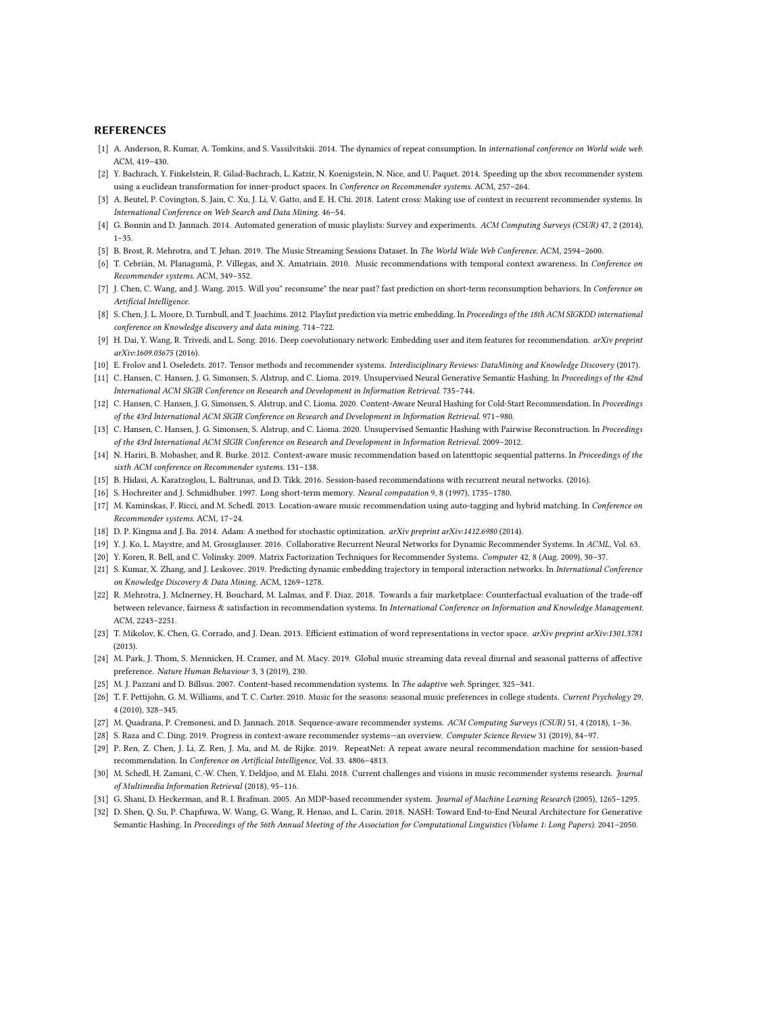#### REFERENCES

- <span id="page-14-1"></span>[1] A. Anderson, R. Kumar, A. Tomkins, and S. Vassilvitskii. 2014. The dynamics of repeat consumption. In international conference on World wide web. ACM, 419–430.
- <span id="page-14-6"></span>[2] Y. Bachrach, Y. Finkelstein, R. Gilad-Bachrach, L. Katzir, N. Koenigstein, N. Nice, and U. Paquet. 2014. Speeding up the xbox recommender system using a euclidean transformation for inner-product spaces. In Conference on Recommender systems. ACM, 257–264.
- <span id="page-14-10"></span>[3] A. Beutel, P. Covington, S. Jain, C. Xu, J. Li, V. Gatto, and E. H. Chi. 2018. Latent cross: Making use of context in recurrent recommender systems. In International Conference on Web Search and Data Mining. 46–54.
- <span id="page-14-17"></span>[4] G. Bonnin and D. Jannach. 2014. Automated generation of music playlists: Survey and experiments. ACM Computing Surveys (CSUR) 47, 2 (2014), 1–35.
- <span id="page-14-23"></span>[5] B. Brost, R. Mehrotra, and T. Jehan. 2019. The Music Streaming Sessions Dataset. In The World Wide Web Conference. ACM, 2594–2600.
- <span id="page-14-19"></span>[6] T. Cebrián, M. Planagumà, P. Villegas, and X. Amatriain. 2010. Music recommendations with temporal context awareness. In Conference on Recommender systems. ACM, 349–352.
- <span id="page-14-15"></span>[7] J. Chen, C. Wang, and J. Wang. 2015. Will you" reconsume" the near past? fast prediction on short-term reconsumption behaviors. In Conference on Artificial Intelligence.
- <span id="page-14-18"></span>[8] S. Chen, J. L. Moore, D. Turnbull, and T. Joachims. 2012. Playlist prediction via metric embedding. In Proceedings of the 18th ACM SIGKDD international conference on Knowledge discovery and data mining. 714–722.
- <span id="page-14-11"></span>[9] H. Dai, Y. Wang, R. Trivedi, and L. Song. 2016. Deep coevolutionary network: Embedding user and item features for recommendation. arXiv preprint arXiv:1609.03675 (2016).
- <span id="page-14-9"></span>[10] E. Frolov and I. Oseledets. 2017. Tensor methods and recommender systems. Interdisciplinary Reviews: DataMining and Knowledge Discovery (2017).
- <span id="page-14-29"></span>[11] C. Hansen, C. Hansen, J. G. Simonsen, S. Alstrup, and C. Lioma. 2019. Unsupervised Neural Generative Semantic Hashing. In Proceedings of the 42nd International ACM SIGIR Conference on Research and Development in Information Retrieval. 735–744.
- <span id="page-14-28"></span>[12] C. Hansen, C. Hansen, J. G. Simonsen, S. Alstrup, and C. Lioma. 2020. Content-Aware Neural Hashing for Cold-Start Recommendation. In Proceedings of the 43rd International ACM SIGIR Conference on Research and Development in Information Retrieval. 971–980.
- <span id="page-14-30"></span>[13] C. Hansen, C. Hansen, J. G. Simonsen, S. Alstrup, and C. Lioma. 2020. Unsupervised Semantic Hashing with Pairwise Reconstruction. In Proceedings of the 43rd International ACM SIGIR Conference on Research and Development in Information Retrieval. 2009–2012.
- <span id="page-14-20"></span>[14] N. Hariri, B. Mobasher, and R. Burke. 2012. Context-aware music recommendation based on latenttopic sequential patterns. In Proceedings of the sixth ACM conference on Recommender systems. 131–138.
- <span id="page-14-14"></span>[15] B. Hidasi, A. Karatzoglou, L. Baltrunas, and D. Tikk. 2016. Session-based recommendations with recurrent neural networks. (2016).
- <span id="page-14-26"></span>[16] S. Hochreiter and J. Schmidhuber. 1997. Long short-term memory. Neural computation 9, 8 (1997), 1735–1780.
- <span id="page-14-21"></span>[17] M. Kaminskas, F. Ricci, and M. Schedl. 2013. Location-aware music recommendation using auto-tagging and hybrid matching. In Conference on Recommender systems. ACM, 17–24.
- <span id="page-14-27"></span>[18] D. P. Kingma and J. Ba. 2014. Adam: A method for stochastic optimization. arXiv preprint arXiv:1412.6980 (2014).
- <span id="page-14-16"></span>[19] Y. J. Ko, L. Maystre, and M. Grossglauser. 2016. Collaborative Recurrent Neural Networks for Dynamic Recommender Systems. In ACML, Vol. 63.
- <span id="page-14-4"></span>[20] Y. Koren, R. Bell, and C. Volinsky. 2009. Matrix Factorization Techniques for Recommender Systems. Computer 42, 8 (Aug. 2009), 30–37.
- <span id="page-14-5"></span>[21] S. Kumar, X. Zhang, and J. Leskovec. 2019. Predicting dynamic embedding trajectory in temporal interaction networks. In International Conference on Knowledge Discovery & Data Mining. ACM, 1269–1278.
- <span id="page-14-25"></span>[22] R. Mehrotra, J. McInerney, H. Bouchard, M. Lalmas, and F. Diaz. 2018. Towards a fair marketplace: Counterfactual evaluation of the trade-off between relevance, fairness & satisfaction in recommendation systems. In International Conference on Information and Knowledge Management. ACM, 2243–2251.
- <span id="page-14-24"></span>[23] T. Mikolov, K. Chen, G. Corrado, and J. Dean. 2013. Efficient estimation of word representations in vector space. arXiv preprint arXiv:1301.3781  $(2013)$
- <span id="page-14-2"></span>[24] M. Park, J. Thom, S. Mennicken, H. Cramer, and M. Macy. 2019. Global music streaming data reveal diurnal and seasonal patterns of affective preference. Nature Human Behaviour 3, 3 (2019), 230.
- <span id="page-14-7"></span>[25] M. J. Pazzani and D. Billsus. 2007. Content-based recommendation systems. In The adaptive web. Springer, 325–341.
- <span id="page-14-22"></span>[26] T. F. Pettijohn, G. M. Williams, and T. C. Carter. 2010. Music for the seasons: seasonal music preferences in college students. Current Psychology 29, 4 (2010), 328–345.
- <span id="page-14-8"></span>[27] M. Quadrana, P. Cremonesi, and D. Jannach. 2018. Sequence-aware recommender systems. ACM Computing Surveys (CSUR) 51, 4 (2018), 1–36.
- <span id="page-14-3"></span>[28] S. Raza and C. Ding. 2019. Progress in context-aware recommender systems—an overview. Computer Science Review 31 (2019), 84–97.
- <span id="page-14-12"></span>[29] P. Ren, Z. Chen, J. Li, Z. Ren, J. Ma, and M. de Rijke. 2019. RepeatNet: A repeat aware neural recommendation machine for session-based recommendation. In Conference on Artificial Intelligence, Vol. 33. 4806–4813.
- <span id="page-14-0"></span>[30] M. Schedl, H. Zamani, C.-W. Chen, Y. Deldjoo, and M. Elahi. 2018. Current challenges and visions in music recommender systems research. Journal of Multimedia Information Retrieval (2018), 95–116.
- <span id="page-14-13"></span>[31] G. Shani, D. Heckerman, and R. I. Brafman. 2005. An MDP-based recommender system. Journal of Machine Learning Research (2005), 1265-1295.
- <span id="page-14-31"></span>[32] D. Shen, Q. Su, P. Chapfuwa, W. Wang, G. Wang, R. Henao, and L. Carin. 2018. NASH: Toward End-to-End Neural Architecture for Generative Semantic Hashing. In Proceedings of the 56th Annual Meeting of the Association for Computational Linguistics (Volume 1: Long Papers). 2041–2050.